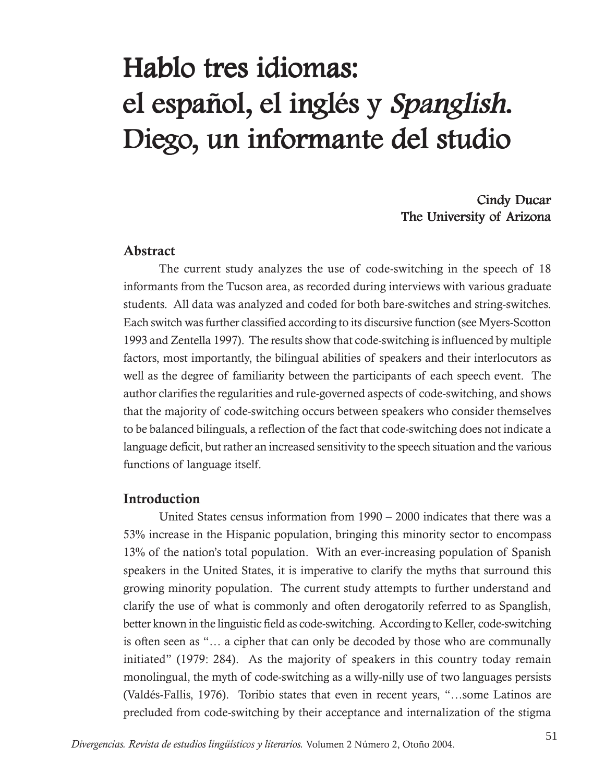# Hablo tres idiomas: el español, el inglés y Spanglish. Diego, un informante del studio

## Cindy Ducar The University of Arizona

#### **Abstract**

The current study analyzes the use of code-switching in the speech of 18 informants from the Tucson area, as recorded during interviews with various graduate students. All data was analyzed and coded for both bare-switches and string-switches. Each switch was further classified according to its discursive function (see Myers-Scotton 1993 and Zentella 1997). The results show that code-switching is influenced by multiple factors, most importantly, the bilingual abilities of speakers and their interlocutors as well as the degree of familiarity between the participants of each speech event. The author clarifies the regularities and rule-governed aspects of code-switching, and shows that the majority of code-switching occurs between speakers who consider themselves to be balanced bilinguals, a reflection of the fact that code-switching does not indicate a language deficit, but rather an increased sensitivity to the speech situation and the various functions of language itself.

#### **Introduction**

United States census information from 1990 – 2000 indicates that there was a 53% increase in the Hispanic population, bringing this minority sector to encompass 13% of the nation's total population. With an ever-increasing population of Spanish speakers in the United States, it is imperative to clarify the myths that surround this growing minority population. The current study attempts to further understand and clarify the use of what is commonly and often derogatorily referred to as Spanglish, better known in the linguistic field as code-switching. According to Keller, code-switching is often seen as "… a cipher that can only be decoded by those who are communally initiated" (1979: 284). As the majority of speakers in this country today remain monolingual, the myth of code-switching as a willy-nilly use of two languages persists (Valdés-Fallis, 1976). Toribio states that even in recent years, "…some Latinos are precluded from code-switching by their acceptance and internalization of the stigma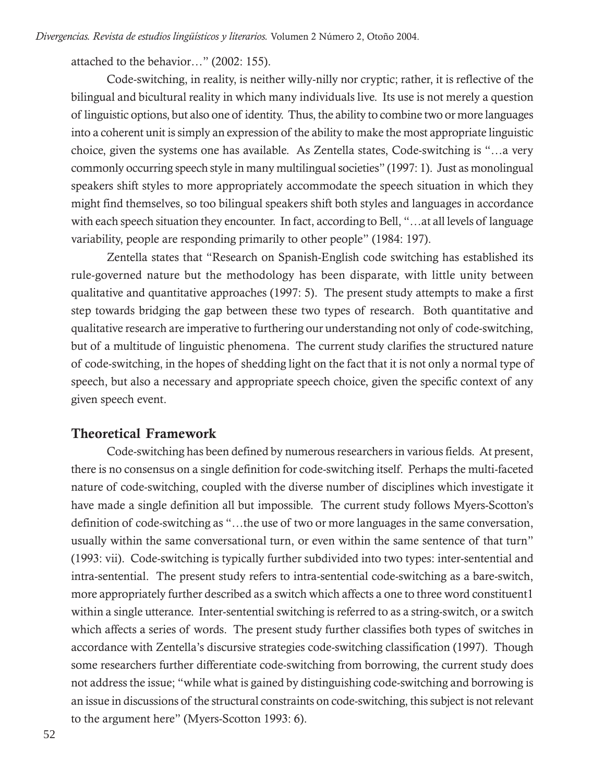attached to the behavior…" (2002: 155).

Code-switching, in reality, is neither willy-nilly nor cryptic; rather, it is reflective of the bilingual and bicultural reality in which many individuals live. Its use is not merely a question of linguistic options, but also one of identity. Thus, the ability to combine two or more languages into a coherent unit is simply an expression of the ability to make the most appropriate linguistic choice, given the systems one has available. As Zentella states, Code-switching is "…a very commonly occurring speech style in many multilingual societies" (1997: 1). Just as monolingual speakers shift styles to more appropriately accommodate the speech situation in which they might find themselves, so too bilingual speakers shift both styles and languages in accordance with each speech situation they encounter. In fact, according to Bell, "…at all levels of language variability, people are responding primarily to other people" (1984: 197).

Zentella states that "Research on Spanish-English code switching has established its rule-governed nature but the methodology has been disparate, with little unity between qualitative and quantitative approaches (1997: 5). The present study attempts to make a first step towards bridging the gap between these two types of research. Both quantitative and qualitative research are imperative to furthering our understanding not only of code-switching, but of a multitude of linguistic phenomena. The current study clarifies the structured nature of code-switching, in the hopes of shedding light on the fact that it is not only a normal type of speech, but also a necessary and appropriate speech choice, given the specific context of any given speech event.

#### **Theoretical Framework**

Code-switching has been defined by numerous researchers in various fields. At present, there is no consensus on a single definition for code-switching itself. Perhaps the multi-faceted nature of code-switching, coupled with the diverse number of disciplines which investigate it have made a single definition all but impossible. The current study follows Myers-Scotton's definition of code-switching as "…the use of two or more languages in the same conversation, usually within the same conversational turn, or even within the same sentence of that turn" (1993: vii). Code-switching is typically further subdivided into two types: inter-sentential and intra-sentential. The present study refers to intra-sentential code-switching as a bare-switch, more appropriately further described as a switch which affects a one to three word constituent1 within a single utterance. Inter-sentential switching is referred to as a string-switch, or a switch which affects a series of words. The present study further classifies both types of switches in accordance with Zentella's discursive strategies code-switching classification (1997). Though some researchers further differentiate code-switching from borrowing, the current study does not address the issue; "while what is gained by distinguishing code-switching and borrowing is an issue in discussions of the structural constraints on code-switching, this subject is not relevant to the argument here" (Myers-Scotton 1993: 6).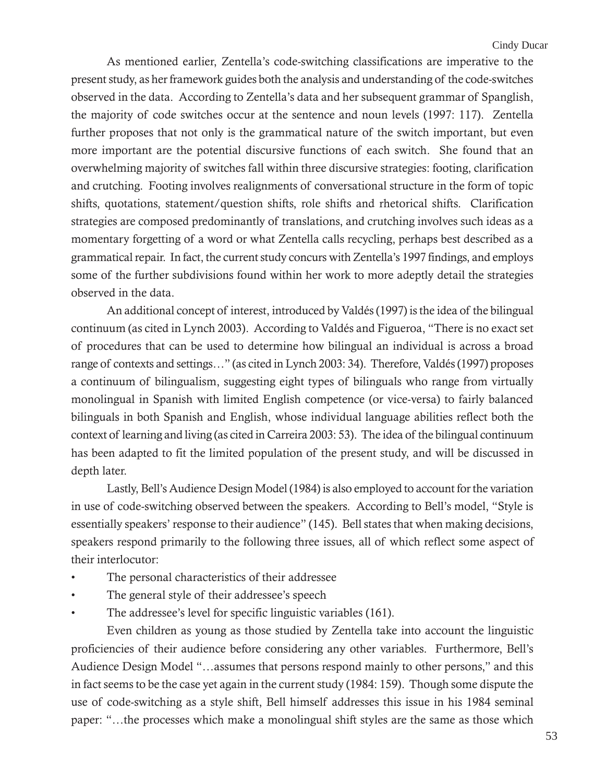As mentioned earlier, Zentella's code-switching classifications are imperative to the present study, as her framework guides both the analysis and understanding of the code-switches observed in the data. According to Zentella's data and her subsequent grammar of Spanglish, the majority of code switches occur at the sentence and noun levels (1997: 117). Zentella further proposes that not only is the grammatical nature of the switch important, but even more important are the potential discursive functions of each switch. She found that an overwhelming majority of switches fall within three discursive strategies: footing, clarification and crutching. Footing involves realignments of conversational structure in the form of topic shifts, quotations, statement/question shifts, role shifts and rhetorical shifts. Clarification strategies are composed predominantly of translations, and crutching involves such ideas as a momentary forgetting of a word or what Zentella calls recycling, perhaps best described as a grammatical repair. In fact, the current study concurs with Zentella's 1997 findings, and employs some of the further subdivisions found within her work to more adeptly detail the strategies observed in the data.

An additional concept of interest, introduced by Valdés (1997) is the idea of the bilingual continuum (as cited in Lynch 2003). According to Valdés and Figueroa, "There is no exact set of procedures that can be used to determine how bilingual an individual is across a broad range of contexts and settings…" (as cited in Lynch 2003: 34). Therefore, Valdés (1997) proposes a continuum of bilingualism, suggesting eight types of bilinguals who range from virtually monolingual in Spanish with limited English competence (or vice-versa) to fairly balanced bilinguals in both Spanish and English, whose individual language abilities reflect both the context of learning and living (as cited in Carreira 2003: 53). The idea of the bilingual continuum has been adapted to fit the limited population of the present study, and will be discussed in depth later.

Lastly, Bell's Audience Design Model (1984) is also employed to account for the variation in use of code-switching observed between the speakers. According to Bell's model, "Style is essentially speakers' response to their audience" (145). Bell states that when making decisions, speakers respond primarily to the following three issues, all of which reflect some aspect of their interlocutor:

- The personal characteristics of their addressee
- The general style of their addressee's speech
- The addressee's level for specific linguistic variables (161).

Even children as young as those studied by Zentella take into account the linguistic proficiencies of their audience before considering any other variables. Furthermore, Bell's Audience Design Model "…assumes that persons respond mainly to other persons," and this in fact seems to be the case yet again in the current study (1984: 159). Though some dispute the use of code-switching as a style shift, Bell himself addresses this issue in his 1984 seminal paper: "…the processes which make a monolingual shift styles are the same as those which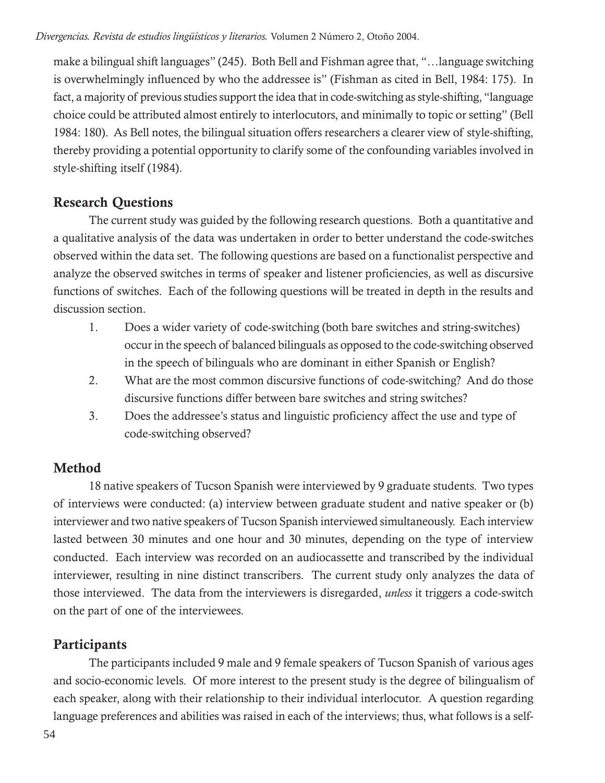make a bilingual shift languages" (245). Both Bell and Fishman agree that, "…language switching is overwhelmingly influenced by who the addressee is" (Fishman as cited in Bell, 1984: 175). In fact, a majority of previous studies support the idea that in code-switching as style-shifting, "language choice could be attributed almost entirely to interlocutors, and minimally to topic or setting" (Bell 1984: 180). As Bell notes, the bilingual situation offers researchers a clearer view of style-shifting, thereby providing a potential opportunity to clarify some of the confounding variables involved in style-shifting itself (1984).

# **Research Questions**

The current study was guided by the following research questions. Both a quantitative and a qualitative analysis of the data was undertaken in order to better understand the code-switches observed within the data set. The following questions are based on a functionalist perspective and analyze the observed switches in terms of speaker and listener proficiencies, as well as discursive functions of switches. Each of the following questions will be treated in depth in the results and discussion section.

- 1. Does a wider variety of code-switching (both bare switches and string-switches) occur in the speech of balanced bilinguals as opposed to the code-switching observed in the speech of bilinguals who are dominant in either Spanish or English?
- 2. What are the most common discursive functions of code-switching? And do those discursive functions differ between bare switches and string switches?
- 3. Does the addressee's status and linguistic proficiency affect the use and type of code-switching observed?

# **Method**

18 native speakers of Tucson Spanish were interviewed by 9 graduate students. Two types of interviews were conducted: (a) interview between graduate student and native speaker or (b) interviewer and two native speakers of Tucson Spanish interviewed simultaneously. Each interview lasted between 30 minutes and one hour and 30 minutes, depending on the type of interview conducted. Each interview was recorded on an audiocassette and transcribed by the individual interviewer, resulting in nine distinct transcribers. The current study only analyzes the data of those interviewed. The data from the interviewers is disregarded, *unless* it triggers a code-switch on the part of one of the interviewees.

# **Participants**

The participants included 9 male and 9 female speakers of Tucson Spanish of various ages and socio-economic levels. Of more interest to the present study is the degree of bilingualism of each speaker, along with their relationship to their individual interlocutor. A question regarding language preferences and abilities was raised in each of the interviews; thus, what follows is a self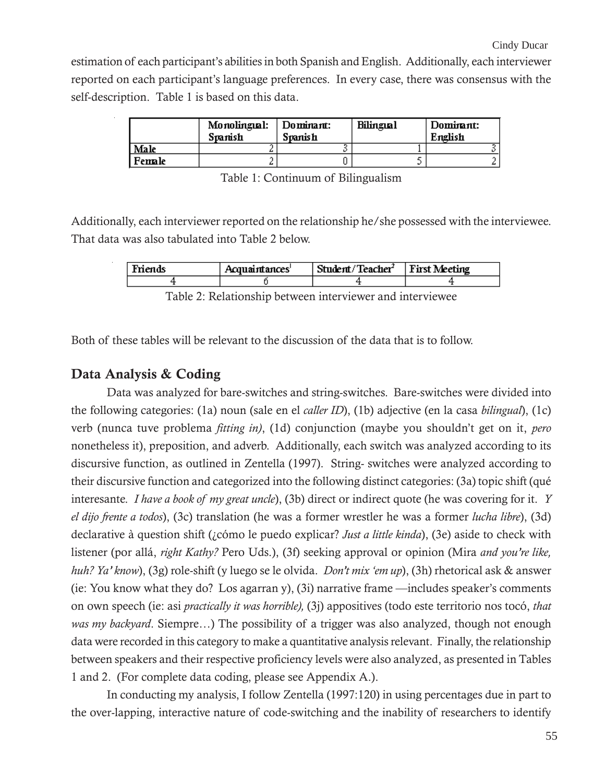estimation of each participant's abilities in both Spanish and English. Additionally, each interviewer reported on each participant's language preferences. In every case, there was consensus with the self-description. Table 1 is based on this data.

|        | Monolingual:<br>Spanish | Dominant:<br><b>Spanish</b> | Bilingial | Dominant:<br>English |
|--------|-------------------------|-----------------------------|-----------|----------------------|
| Male   |                         |                             |           |                      |
| Female |                         |                             |           |                      |

Additionally, each interviewer reported on the relationship he/she possessed with the interviewee. That data was also tabulated into Table 2 below.

| .ds | Acquaintances' | Student/Teacher <sup>7</sup> | ting |
|-----|----------------|------------------------------|------|
|     |                |                              |      |

Table 2: Relationship between interviewer and interviewee

Both of these tables will be relevant to the discussion of the data that is to follow.

#### **Data Analysis & Coding**

Data was analyzed for bare-switches and string-switches. Bare-switches were divided into the following categories: (1a) noun (sale en el *caller ID*), (1b) adjective (en la casa *bilingual*), (1c) verb (nunca tuve problema *fitting in)*, (1d) conjunction (maybe you shouldn't get on it, *pero* nonetheless it), preposition, and adverb. Additionally, each switch was analyzed according to its discursive function, as outlined in Zentella (1997). String- switches were analyzed according to their discursive function and categorized into the following distinct categories: (3a) topic shift (qué interesante. *I have a book of my great uncle*), (3b) direct or indirect quote (he was covering for it. *Y el dijo frente a todos*), (3c) translation (he was a former wrestler he was a former *lucha libre*), (3d) declarative à question shift (¿cómo le puedo explicar? *Just a little kinda*), (3e) aside to check with listener (por allá, *right Kathy?* Pero Uds.), (3f) seeking approval or opinion (Mira *and you're like, huh? Ya' know*), (3g) role-shift (y luego se le olvida. *Don't mix 'em up*), (3h) rhetorical ask & answer (ie: You know what they do? Los agarran y), (3i) narrative frame —includes speaker's comments on own speech (ie: asi *practically it was horrible),* (3j) appositives (todo este territorio nos tocó, *that was my backyard*. Siempre…) The possibility of a trigger was also analyzed, though not enough data were recorded in this category to make a quantitative analysis relevant. Finally, the relationship between speakers and their respective proficiency levels were also analyzed, as presented in Tables 1 and 2. (For complete data coding, please see Appendix A.).

In conducting my analysis, I follow Zentella (1997:120) in using percentages due in part to the over-lapping, interactive nature of code-switching and the inability of researchers to identify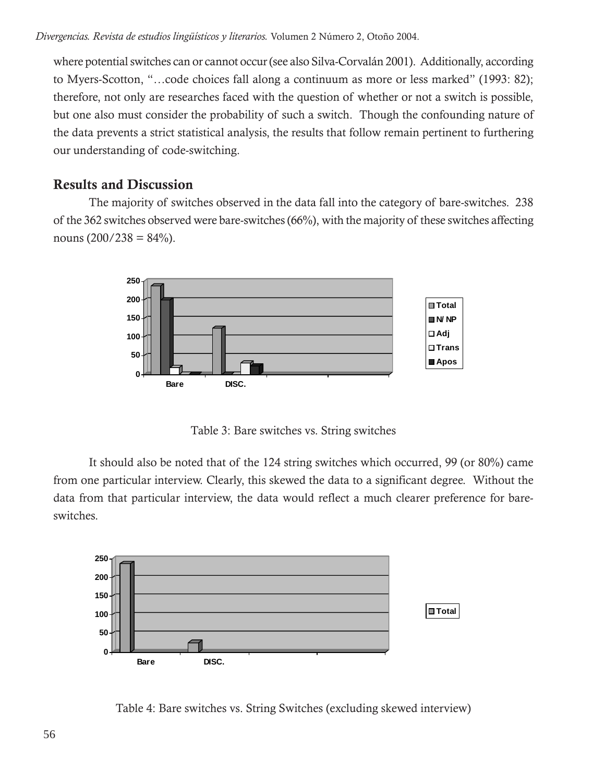where potential switches can or cannot occur (see also Silva-Corvalán 2001). Additionally, according to Myers-Scotton, "…code choices fall along a continuum as more or less marked" (1993: 82); therefore, not only are researches faced with the question of whether or not a switch is possible, but one also must consider the probability of such a switch. Though the confounding nature of the data prevents a strict statistical analysis, the results that follow remain pertinent to furthering our understanding of code-switching.

## **Results and Discussion**

The majority of switches observed in the data fall into the category of bare-switches. 238 of the 362 switches observed were bare-switches (66%), with the majority of these switches affecting nouns  $(200/238 = 84\%)$ .



Table 3: Bare switches vs. String switches

It should also be noted that of the 124 string switches which occurred, 99 (or 80%) came from one particular interview. Clearly, this skewed the data to a significant degree. Without the data from that particular interview, the data would reflect a much clearer preference for bareswitches.



Table 4: Bare switches vs. String Switches (excluding skewed interview)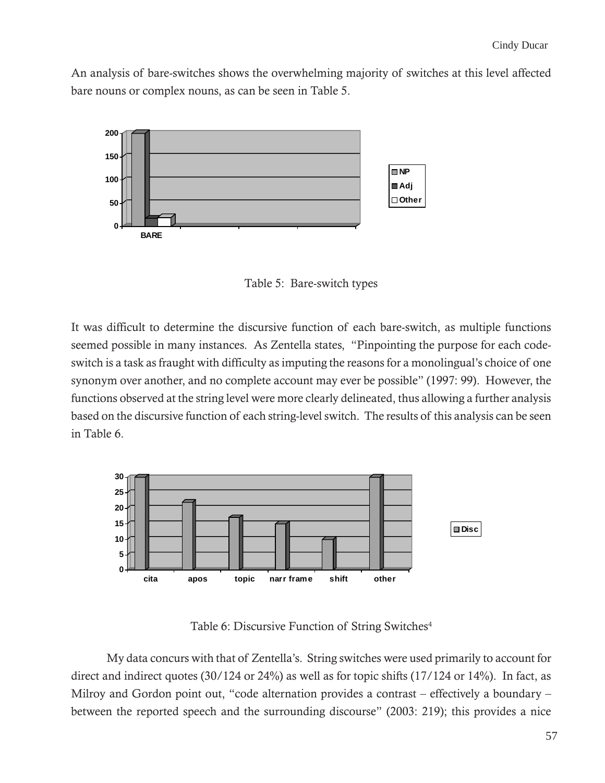An analysis of bare-switches shows the overwhelming majority of switches at this level affected bare nouns or complex nouns, as can be seen in Table 5.



Table 5: Bare-switch types

It was difficult to determine the discursive function of each bare-switch, as multiple functions seemed possible in many instances. As Zentella states, "Pinpointing the purpose for each codeswitch is a task as fraught with difficulty as imputing the reasons for a monolingual's choice of one synonym over another, and no complete account may ever be possible" (1997: 99). However, the functions observed at the string level were more clearly delineated, thus allowing a further analysis based on the discursive function of each string-level switch. The results of this analysis can be seen in Table 6.



Table 6: Discursive Function of String Switches<sup>4</sup>

My data concurs with that of Zentella's. String switches were used primarily to account for direct and indirect quotes (30/124 or 24%) as well as for topic shifts (17/124 or 14%). In fact, as Milroy and Gordon point out, "code alternation provides a contrast – effectively a boundary – between the reported speech and the surrounding discourse" (2003: 219); this provides a nice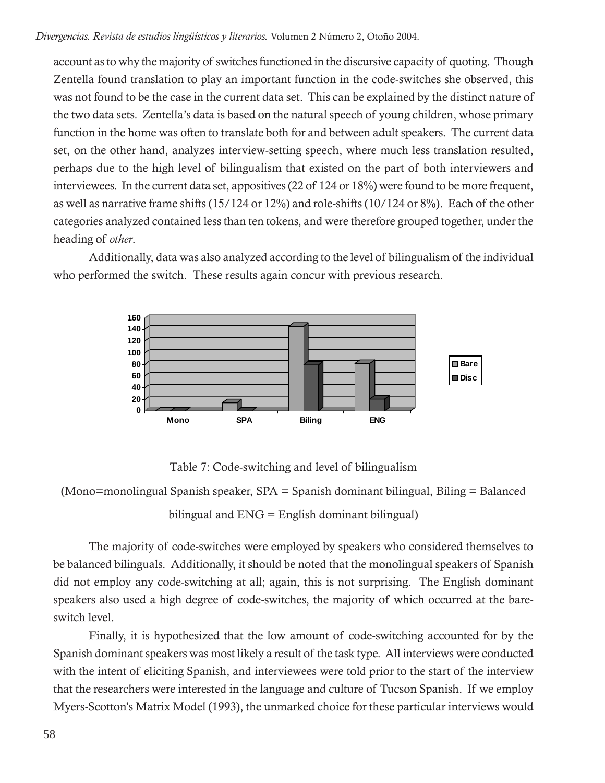*Divergencias. Revista de estudios lingüísticos y literarios.* Volumen 2 Número 2, Otoño 2004.

account as to why the majority of switches functioned in the discursive capacity of quoting. Though Zentella found translation to play an important function in the code-switches she observed, this was not found to be the case in the current data set. This can be explained by the distinct nature of the two data sets. Zentella's data is based on the natural speech of young children, whose primary function in the home was often to translate both for and between adult speakers. The current data set, on the other hand, analyzes interview-setting speech, where much less translation resulted, perhaps due to the high level of bilingualism that existed on the part of both interviewers and interviewees. In the current data set, appositives (22 of 124 or 18%) were found to be more frequent, as well as narrative frame shifts (15/124 or 12%) and role-shifts (10/124 or 8%). Each of the other categories analyzed contained less than ten tokens, and were therefore grouped together, under the heading of *other*.

Additionally, data was also analyzed according to the level of bilingualism of the individual who performed the switch. These results again concur with previous research.



Table 7: Code-switching and level of bilingualism

(Mono=monolingual Spanish speaker, SPA = Spanish dominant bilingual, Biling = Balanced

bilingual and ENG = English dominant bilingual)

The majority of code-switches were employed by speakers who considered themselves to be balanced bilinguals. Additionally, it should be noted that the monolingual speakers of Spanish did not employ any code-switching at all; again, this is not surprising. The English dominant speakers also used a high degree of code-switches, the majority of which occurred at the bareswitch level.

Finally, it is hypothesized that the low amount of code-switching accounted for by the Spanish dominant speakers was most likely a result of the task type. All interviews were conducted with the intent of eliciting Spanish, and interviewees were told prior to the start of the interview that the researchers were interested in the language and culture of Tucson Spanish. If we employ Myers-Scotton's Matrix Model (1993), the unmarked choice for these particular interviews would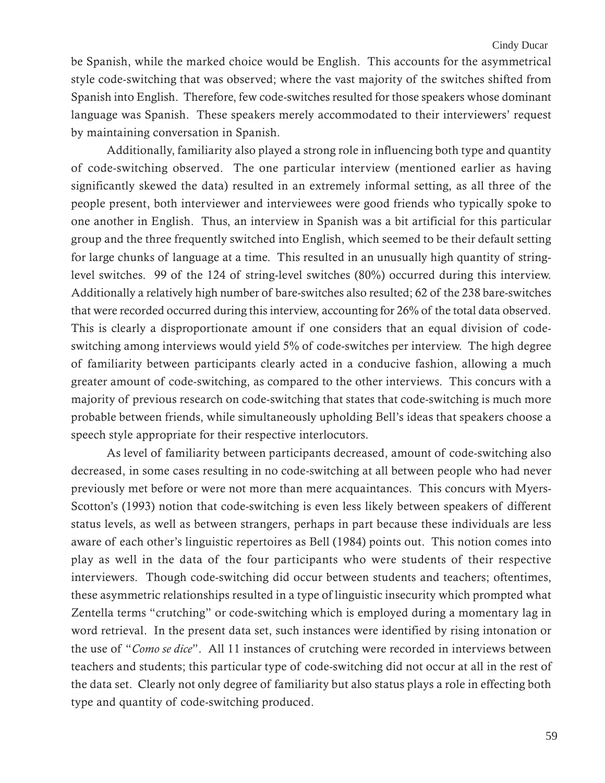be Spanish, while the marked choice would be English. This accounts for the asymmetrical style code-switching that was observed; where the vast majority of the switches shifted from Spanish into English. Therefore, few code-switches resulted for those speakers whose dominant language was Spanish. These speakers merely accommodated to their interviewers' request by maintaining conversation in Spanish.

Additionally, familiarity also played a strong role in influencing both type and quantity of code-switching observed. The one particular interview (mentioned earlier as having significantly skewed the data) resulted in an extremely informal setting, as all three of the people present, both interviewer and interviewees were good friends who typically spoke to one another in English. Thus, an interview in Spanish was a bit artificial for this particular group and the three frequently switched into English, which seemed to be their default setting for large chunks of language at a time. This resulted in an unusually high quantity of stringlevel switches. 99 of the 124 of string-level switches (80%) occurred during this interview. Additionally a relatively high number of bare-switches also resulted; 62 of the 238 bare-switches that were recorded occurred during this interview, accounting for 26% of the total data observed. This is clearly a disproportionate amount if one considers that an equal division of codeswitching among interviews would yield 5% of code-switches per interview. The high degree of familiarity between participants clearly acted in a conducive fashion, allowing a much greater amount of code-switching, as compared to the other interviews. This concurs with a majority of previous research on code-switching that states that code-switching is much more probable between friends, while simultaneously upholding Bell's ideas that speakers choose a speech style appropriate for their respective interlocutors.

As level of familiarity between participants decreased, amount of code-switching also decreased, in some cases resulting in no code-switching at all between people who had never previously met before or were not more than mere acquaintances. This concurs with Myers-Scotton's (1993) notion that code-switching is even less likely between speakers of different status levels, as well as between strangers, perhaps in part because these individuals are less aware of each other's linguistic repertoires as Bell (1984) points out. This notion comes into play as well in the data of the four participants who were students of their respective interviewers. Though code-switching did occur between students and teachers; oftentimes, these asymmetric relationships resulted in a type of linguistic insecurity which prompted what Zentella terms "crutching" or code-switching which is employed during a momentary lag in word retrieval. In the present data set, such instances were identified by rising intonation or the use of "*Como se dice*". All 11 instances of crutching were recorded in interviews between teachers and students; this particular type of code-switching did not occur at all in the rest of the data set. Clearly not only degree of familiarity but also status plays a role in effecting both type and quantity of code-switching produced.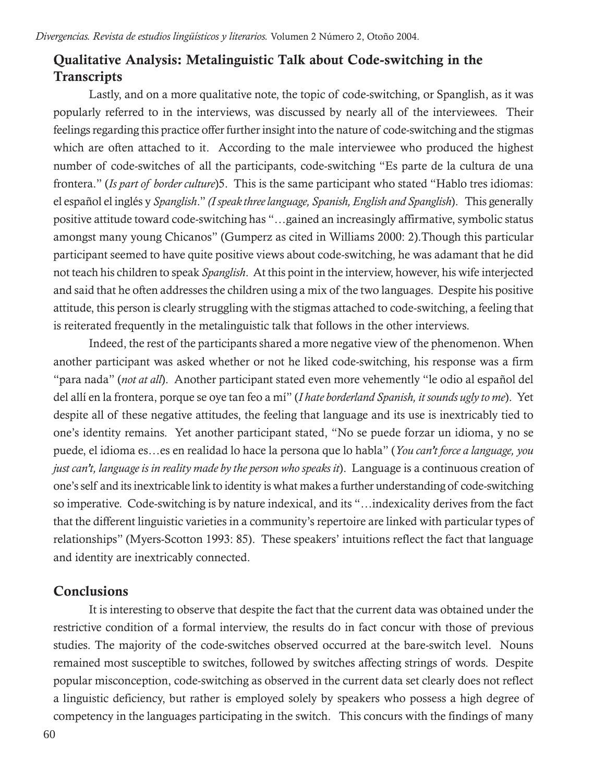# **Qualitative Analysis: Metalinguistic Talk about Code-switching in the Transcripts**

Lastly, and on a more qualitative note, the topic of code-switching, or Spanglish, as it was popularly referred to in the interviews, was discussed by nearly all of the interviewees. Their feelings regarding this practice offer further insight into the nature of code-switching and the stigmas which are often attached to it. According to the male interviewee who produced the highest number of code-switches of all the participants, code-switching "Es parte de la cultura de una frontera." (*Is part of border culture*)5. This is the same participant who stated "Hablo tres idiomas: el español el inglés y *Spanglish*." *(I speak three language, Spanish, English and Spanglish*). This generally positive attitude toward code-switching has "…gained an increasingly affirmative, symbolic status amongst many young Chicanos" (Gumperz as cited in Williams 2000: 2).Though this particular participant seemed to have quite positive views about code-switching, he was adamant that he did not teach his children to speak *Spanglish*. At this point in the interview, however, his wife interjected and said that he often addresses the children using a mix of the two languages. Despite his positive attitude, this person is clearly struggling with the stigmas attached to code-switching, a feeling that is reiterated frequently in the metalinguistic talk that follows in the other interviews.

Indeed, the rest of the participants shared a more negative view of the phenomenon. When another participant was asked whether or not he liked code-switching, his response was a firm "para nada" (*not at all*). Another participant stated even more vehemently "le odio al español del del allí en la frontera, porque se oye tan feo a mí" (*I hate borderland Spanish, it sounds ugly to me*). Yet despite all of these negative attitudes, the feeling that language and its use is inextricably tied to one's identity remains. Yet another participant stated, "No se puede forzar un idioma, y no se puede, el idioma es…es en realidad lo hace la persona que lo habla" (*You can't force a language, you just can't, language is in reality made by the person who speaks it*). Language is a continuous creation of one's self and its inextricable link to identity is what makes a further understanding of code-switching so imperative. Code-switching is by nature indexical, and its "…indexicality derives from the fact that the different linguistic varieties in a community's repertoire are linked with particular types of relationships" (Myers-Scotton 1993: 85). These speakers' intuitions reflect the fact that language and identity are inextricably connected.

## **Conclusions**

It is interesting to observe that despite the fact that the current data was obtained under the restrictive condition of a formal interview, the results do in fact concur with those of previous studies. The majority of the code-switches observed occurred at the bare-switch level. Nouns remained most susceptible to switches, followed by switches affecting strings of words. Despite popular misconception, code-switching as observed in the current data set clearly does not reflect a linguistic deficiency, but rather is employed solely by speakers who possess a high degree of competency in the languages participating in the switch. This concurs with the findings of many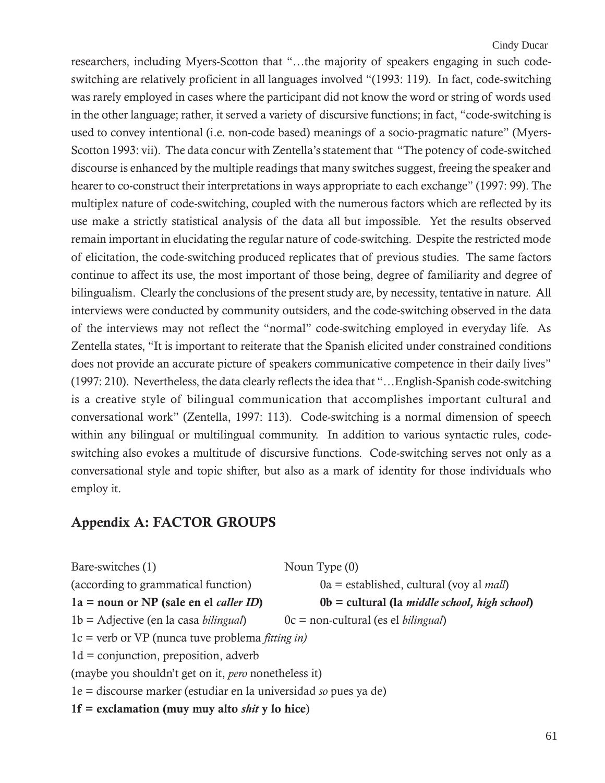researchers, including Myers-Scotton that "…the majority of speakers engaging in such codeswitching are relatively proficient in all languages involved "(1993: 119). In fact, code-switching was rarely employed in cases where the participant did not know the word or string of words used in the other language; rather, it served a variety of discursive functions; in fact, "code-switching is used to convey intentional (i.e. non-code based) meanings of a socio-pragmatic nature" (Myers-Scotton 1993: vii). The data concur with Zentella's statement that "The potency of code-switched discourse is enhanced by the multiple readings that many switches suggest, freeing the speaker and hearer to co-construct their interpretations in ways appropriate to each exchange" (1997: 99). The multiplex nature of code-switching, coupled with the numerous factors which are reflected by its use make a strictly statistical analysis of the data all but impossible. Yet the results observed remain important in elucidating the regular nature of code-switching. Despite the restricted mode of elicitation, the code-switching produced replicates that of previous studies. The same factors continue to affect its use, the most important of those being, degree of familiarity and degree of bilingualism. Clearly the conclusions of the present study are, by necessity, tentative in nature. All interviews were conducted by community outsiders, and the code-switching observed in the data of the interviews may not reflect the "normal" code-switching employed in everyday life. As Zentella states, "It is important to reiterate that the Spanish elicited under constrained conditions does not provide an accurate picture of speakers communicative competence in their daily lives" (1997: 210). Nevertheless, the data clearly reflects the idea that "…English-Spanish code-switching is a creative style of bilingual communication that accomplishes important cultural and conversational work" (Zentella, 1997: 113). Code-switching is a normal dimension of speech within any bilingual or multilingual community. In addition to various syntactic rules, codeswitching also evokes a multitude of discursive functions. Code-switching serves not only as a conversational style and topic shifter, but also as a mark of identity for those individuals who employ it.

## **Appendix A: FACTOR GROUPS**

| Bare-switches (1)                                                | Noun Type $(0)$                                                 |  |  |  |
|------------------------------------------------------------------|-----------------------------------------------------------------|--|--|--|
| (according to grammatical function)                              | $0a =$ established, cultural (voy al <i>mall</i> )              |  |  |  |
| $1a = noun or NP (sale en el caller ID)$                         | $0b =$ cultural (la <i>middle school</i> , <i>high school</i> ) |  |  |  |
| $1b = \text{Adjective}$ (en la casa <i>bilingual</i> )           | $0c = non-cultural (es el bilingual)$                           |  |  |  |
| $1c$ = verb or VP (nunca tuve problema <i>fitting in)</i>        |                                                                 |  |  |  |
| $1d =$ conjunction, preposition, adverb                          |                                                                 |  |  |  |
| (maybe you shouldn't get on it, <i>pero</i> nonetheless it)      |                                                                 |  |  |  |
| 1e = discourse marker (estudiar en la universidad so pues ya de) |                                                                 |  |  |  |
| $1f = exclamation (muy muy alto shift y lo hice)$                |                                                                 |  |  |  |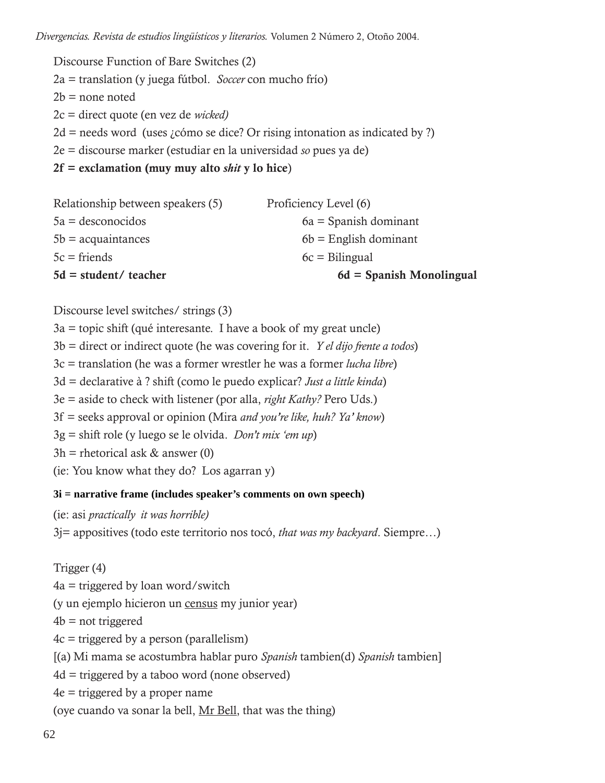*Divergencias. Revista de estudios lingüísticos y literarios.* Volumen 2 Número 2, Otoño 2004.

Discourse Function of Bare Switches (2) 2a = translation (y juega fútbol. *Soccer* con mucho frío)  $2b$  = none noted 2c = direct quote (en vez de *wicked)*  $2d =$  needs word (uses *i* cómo se dice? Or rising intonation as indicated by ?) 2e = discourse marker (estudiar en la universidad *so* pues ya de) **2f = exclamation (muy muy alto** *shit* **y lo hice**)

| $5d = student / teacher$          | $6d =$ Spanish Monolingual |
|-----------------------------------|----------------------------|
| $5c =$ friends                    | $6c = \text{Bilingual}$    |
| $5b = a$ cquaintances             | $6b$ = English dominant    |
| $5a =$ desconocidos               | $6a =$ Spanish dominant    |
| Relationship between speakers (5) | Proficiency Level (6)      |

Discourse level switches/ strings (3)

 $3a =$  topic shift (qué interesante. I have a book of my great uncle) 3b = direct or indirect quote (he was covering for it. *Y el dijo frente a todos*) 3c = translation (he was a former wrestler he was a former *lucha libre*) 3d = declarative à ? shift (como le puedo explicar? *Just a little kinda*) 3e = aside to check with listener (por alla, *right Kathy?* Pero Uds.) 3f = seeks approval or opinion (Mira *and you're like, huh? Ya' know*) 3g = shift role (y luego se le olvida. *Don't mix 'em up*)  $3h$  = rhetorical ask & answer (0) (ie: You know what they do? Los agarran y)

#### **3i = narrative frame (includes speaker's comments on own speech)**

(ie: asi *practically it was horrible)*

3j= appositives (todo este territorio nos tocó, *that was my backyard*. Siempre…)

Trigger (4)

 $4a =$  triggered by loan word/switch

(y un ejemplo hicieron un census my junior year)

 $4b$  = not triggered

 $4c =$  triggered by a person (parallelism)

[(a) Mi mama se acostumbra hablar puro *Spanish* tambien(d) *Spanish* tambien]

 $4d =$  triggered by a taboo word (none observed)

4e = triggered by a proper name

(oye cuando va sonar la bell, Mr Bell, that was the thing)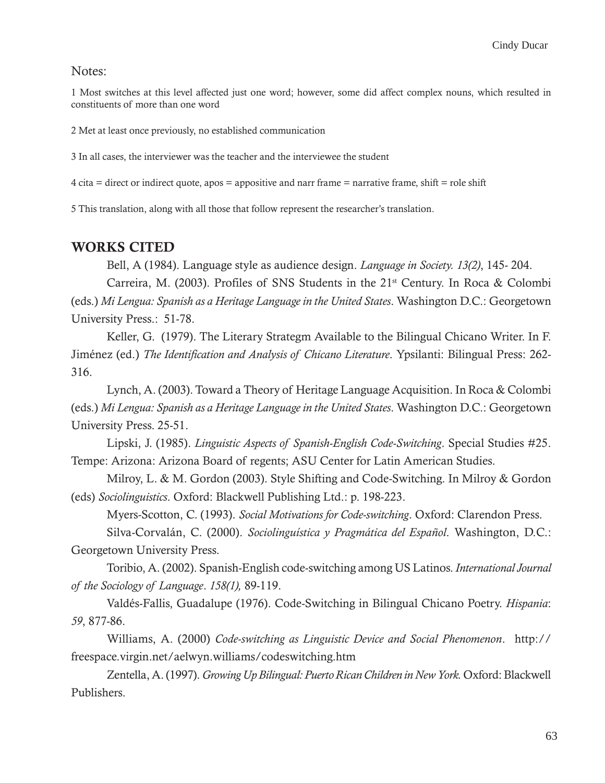#### Notes:

1 Most switches at this level affected just one word; however, some did affect complex nouns, which resulted in constituents of more than one word

2 Met at least once previously, no established communication

3 In all cases, the interviewer was the teacher and the interviewee the student

4 cita = direct or indirect quote, apos = appositive and narr frame = narrative frame, shift = role shift

5 This translation, along with all those that follow represent the researcher's translation.

#### **WORKS CITED**

Bell, A (1984). Language style as audience design. *Language in Society. 13(2)*, 145- 204.

Carreira, M. (2003). Profiles of SNS Students in the  $21<sup>st</sup>$  Century. In Roca & Colombi (eds.) *Mi Lengua: Spanish as a Heritage Language in the United States*. Washington D.C.: Georgetown University Press.: 51-78.

Keller, G. (1979). The Literary Strategm Available to the Bilingual Chicano Writer. In F. Jiménez (ed.) *The Identification and Analysis of Chicano Literature*. Ypsilanti: Bilingual Press: 262- 316.

Lynch, A. (2003). Toward a Theory of Heritage Language Acquisition. In Roca & Colombi (eds.) *Mi Lengua: Spanish as a Heritage Language in the United States*. Washington D.C.: Georgetown University Press. 25-51.

Lipski, J. (1985). *Linguistic Aspects of Spanish-English Code-Switching*. Special Studies #25. Tempe: Arizona: Arizona Board of regents; ASU Center for Latin American Studies.

Milroy, L. & M. Gordon (2003). Style Shifting and Code-Switching. In Milroy & Gordon (eds) *Sociolinguistics*. Oxford: Blackwell Publishing Ltd.: p. 198-223.

Myers-Scotton, C. (1993). *Social Motivations for Code-switching*. Oxford: Clarendon Press.

Silva-Corvalán, C. (2000). *Sociolinguística y Pragmática del Español*. Washington, D.C.: Georgetown University Press.

Toribio, A. (2002). Spanish-English code-switching among US Latinos. *International Journal of the Sociology of Language*. *158(1),* 89-119.

Valdés-Fallis, Guadalupe (1976). Code-Switching in Bilingual Chicano Poetry. *Hispania*: *59*, 877-86.

Williams, A. (2000) *Code-switching as Linguistic Device and Social Phenomenon*. http:// freespace.virgin.net/aelwyn.williams/codeswitching.htm

Zentella, A. (1997). *Growing Up Bilingual: Puerto Rican Children in New York.* Oxford: Blackwell Publishers.